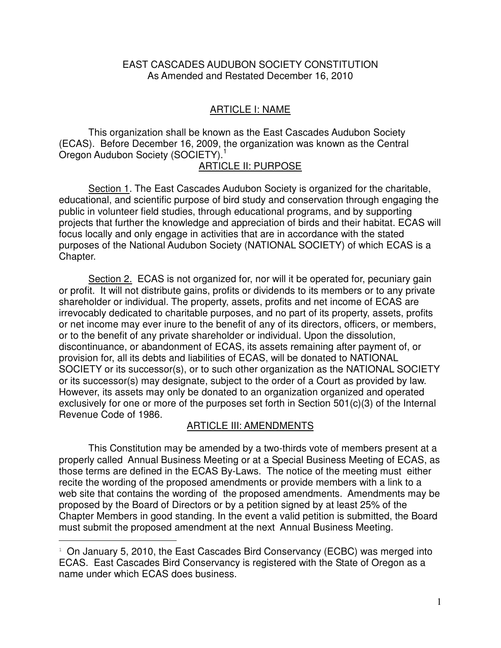## EAST CASCADES AUDUBON SOCIETY CONSTITUTION As Amended and Restated December 16, 2010

## ARTICLE I: NAME

 This organization shall be known as the East Cascades Audubon Society (ECAS). Before December 16, 2009, the organization was known as the Central Oregon Audubon Society (SOCIETY).<sup>1</sup>

## ARTICLE II: PURPOSE

Section 1. The East Cascades Audubon Society is organized for the charitable, educational, and scientific purpose of bird study and conservation through engaging the public in volunteer field studies, through educational programs, and by supporting projects that further the knowledge and appreciation of birds and their habitat. ECAS will focus locally and only engage in activities that are in accordance with the stated purposes of the National Audubon Society (NATIONAL SOCIETY) of which ECAS is a Chapter.

 Section 2. ECAS is not organized for, nor will it be operated for, pecuniary gain or profit. It will not distribute gains, profits or dividends to its members or to any private shareholder or individual. The property, assets, profits and net income of ECAS are irrevocably dedicated to charitable purposes, and no part of its property, assets, profits or net income may ever inure to the benefit of any of its directors, officers, or members, or to the benefit of any private shareholder or individual. Upon the dissolution, discontinuance, or abandonment of ECAS, its assets remaining after payment of, or provision for, all its debts and liabilities of ECAS, will be donated to NATIONAL SOCIETY or its successor(s), or to such other organization as the NATIONAL SOCIETY or its successor(s) may designate, subject to the order of a Court as provided by law. However, its assets may only be donated to an organization organized and operated exclusively for one or more of the purposes set forth in Section 501(c)(3) of the Internal Revenue Code of 1986.

## ARTICLE III: AMENDMENTS

 This Constitution may be amended by a two-thirds vote of members present at a properly called Annual Business Meeting or at a Special Business Meeting of ECAS, as those terms are defined in the ECAS By-Laws. The notice of the meeting must either recite the wording of the proposed amendments or provide members with a link to a web site that contains the wording of the proposed amendments. Amendments may be proposed by the Board of Directors or by a petition signed by at least 25% of the Chapter Members in good standing. In the event a valid petition is submitted, the Board must submit the proposed amendment at the next Annual Business Meeting.

 $\overline{a}$ 

 $1$  On January 5, 2010, the East Cascades Bird Conservancy (ECBC) was merged into ECAS. East Cascades Bird Conservancy is registered with the State of Oregon as a name under which ECAS does business.